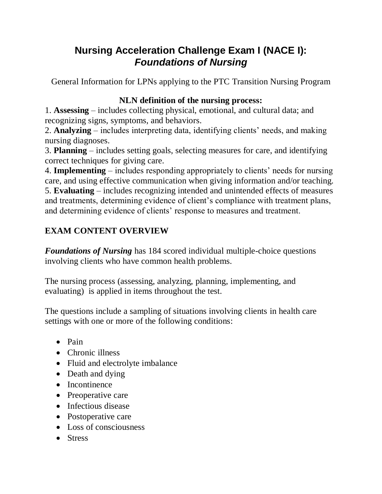## **Nursing Acceleration Challenge Exam I (NACE I):** *Foundations of Nursing*

General Information for LPNs applying to the PTC Transition Nursing Program

## **NLN definition of the nursing process:**

1. **Assessing** – includes collecting physical, emotional, and cultural data; and recognizing signs, symptoms, and behaviors.

2. **Analyzing** – includes interpreting data, identifying clients' needs, and making nursing diagnoses.

3. **Planning** – includes setting goals, selecting measures for care, and identifying correct techniques for giving care.

4. **Implementing** – includes responding appropriately to clients' needs for nursing care, and using effective communication when giving information and/or teaching.

5. **Evaluating** – includes recognizing intended and unintended effects of measures and treatments, determining evidence of client's compliance with treatment plans, and determining evidence of clients' response to measures and treatment.

## **EXAM CONTENT OVERVIEW**

*Foundations of Nursing* has 184 scored individual multiple-choice questions involving clients who have common health problems.

The nursing process (assessing, analyzing, planning, implementing, and evaluating) is applied in items throughout the test.

The questions include a sampling of situations involving clients in health care settings with one or more of the following conditions:

- $\bullet$  Pain
- Chronic illness
- Fluid and electrolyte imbalance
- Death and dying
- Incontinence
- Preoperative care
- Infectious disease
- Postoperative care
- Loss of consciousness
- Stress